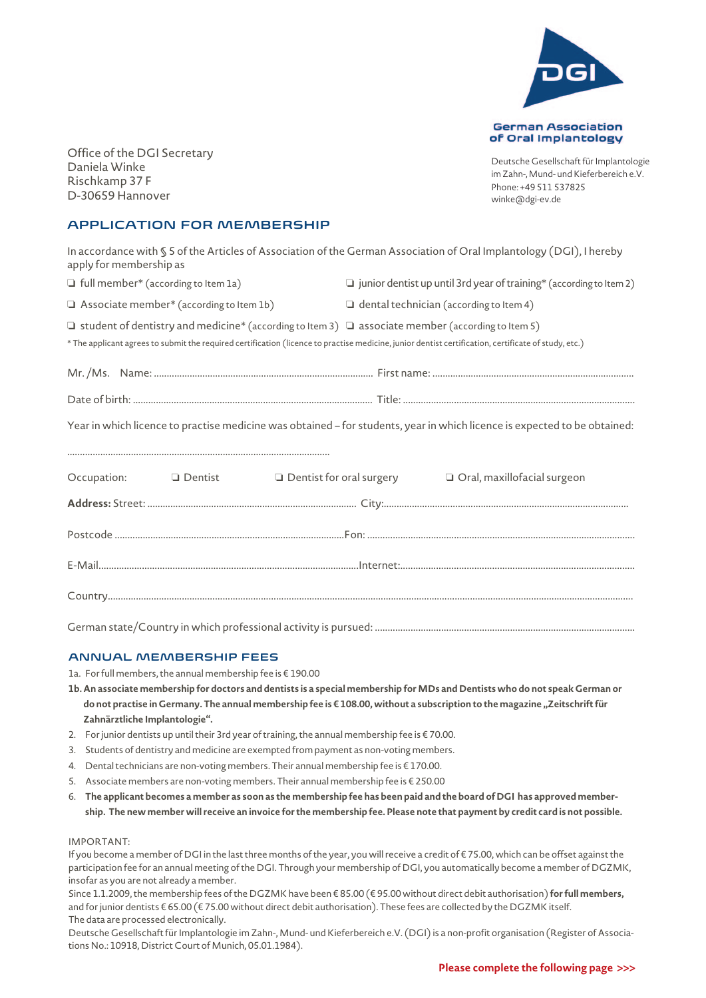

Office of the DGI Secretary Daniela Winke Rischkamp 37 F D-30659 Hannover

Deutsche Gesellschaft für Implantologie im Zahn-, Mund- und Kieferbereich e.V. Phone: +49 511 537825 winke@dgi-ev.de

## APPLICATION FOR MEMBERSHIP

| In accordance with § 5 of the Articles of Association of the German Association of Oral Implantology (DGI), I hereby |  |
|----------------------------------------------------------------------------------------------------------------------|--|
| apply for membership as                                                                                              |  |

| $\Box$ full member* (according to Item 1a) |  | $\square$ junior dentist up until 3rd year of training* (according to Item 2) |  |  |  |  |
|--------------------------------------------|--|-------------------------------------------------------------------------------|--|--|--|--|
|--------------------------------------------|--|-------------------------------------------------------------------------------|--|--|--|--|

 $\Box$  Associate member\* (according to Item 1b)  $\Box$  dental technician (according to Item 4)

 $\Box$  student of dentistry and medicine\* (according to Item 3)  $\Box$  associate member (according to Item 5)

\* The applicant agrees to submit the required certification (licence to practise medicine, junior dentist certification, certificate of study, etc.)

| Mr./Ms. Name:. |  |
|----------------|--|
| Date of hirth  |  |

Year in which licence to practise medicine was obtained – for students, year in which licence is expected to be obtained:

.......................................................................................................

|  | Occupation: □ Dentist □ Dentist for oral surgery □ Oral, maxillofacial surgeon |
|--|--------------------------------------------------------------------------------|
|  |                                                                                |
|  |                                                                                |
|  |                                                                                |
|  |                                                                                |

German state/Country in which professional activity is pursued: ......................................................................................................

## ANNUAL MEMBERSHIP FEES

1a. For full members, the annual membership fee is € 190.00

- **1b. An associate membership for doctors and dentists is a special membership for MDs and Dentists who do not speak German or** do not practise in Germany. The annual membership fee is € 108.00, without a subscription to the magazine "Zeitschrift für **Zahnärztliche Implantologie".**
- 2. For junior dentists up until their 3rd year of training, the annual membership fee is  $\epsilon$  70.00.
- 3. Students of dentistry and medicine are exempted from payment as non-voting members.
- 4. Dental technicians are non-voting members. Their annual membership fee is € 170.00.
- 5. Associate members are non-voting members. Their annual membership fee is € 250.00
- 6. **The applicant becomes a member as soon as the membership fee has been paid and the board of DGI has approved membership. The new member will receive an invoice for the membership fee. Please note that payment by credit card is not possible.**

## IMPORTANT:

If you become a member of DGI in the last three months of the year, you will receive a credit of € 75.00, which can be offset against the participation fee for an annual meeting of the DGI. Through your membership of DGI, you automatically become a member of DGZMK, insofar as you are not already a member.

Since 1.1.2009, the membership fees of the DGZMK have been € 85.00 (€ 95.00 without direct debit authorisation) **for full members,** and for junior dentists € 65.00 (€ 75.00 without direct debit authorisation). These fees are collected by the DGZMK itself. The data are processed electronically.

Deutsche Gesellschaft für Implantologie im Zahn-, Mund- und Kieferbereich e.V. (DGI) is a non-profit organisation (Register of Associations No.: 10918, District Court of Munich, 05.01.1984).